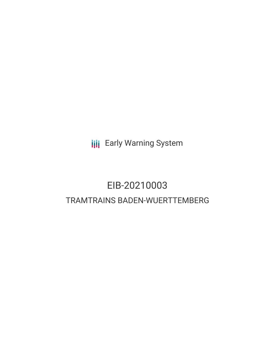**III** Early Warning System

# EIB-20210003 TRAMTRAINS BADEN-WUERTTEMBERG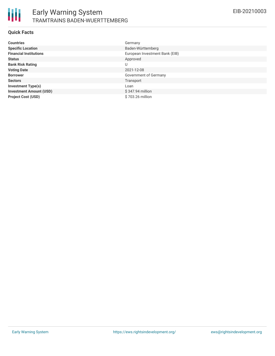

#### **Quick Facts**

| <b>Countries</b>               | Germany                        |
|--------------------------------|--------------------------------|
| <b>Specific Location</b>       | Baden-Württemberg              |
| <b>Financial Institutions</b>  | European Investment Bank (EIB) |
| <b>Status</b>                  | Approved                       |
| <b>Bank Risk Rating</b>        | U                              |
| <b>Voting Date</b>             | 2021-12-08                     |
| <b>Borrower</b>                | Government of Germany          |
| <b>Sectors</b>                 | Transport                      |
| <b>Investment Type(s)</b>      | Loan                           |
| <b>Investment Amount (USD)</b> | $$347.94$ million              |
| <b>Project Cost (USD)</b>      | \$703.26 million               |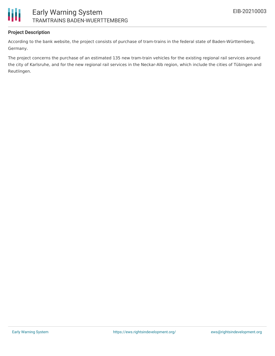

### **Project Description**

According to the bank website, the project consists of purchase of tram-trains in the federal state of Baden-Württemberg, Germany.

The project concerns the purchase of an estimated 135 new tram-train vehicles for the existing regional rail services around the city of Karlsruhe, and for the new regional rail services in the Neckar-Alb region, which include the cities of Tübingen and Reutlingen.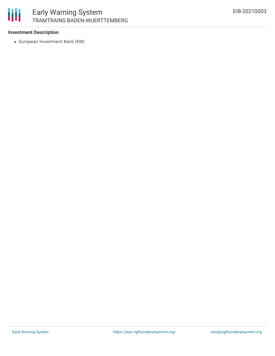

# Early Warning System TRAMTRAINS BADEN-WUERTTEMBERG

#### **Investment Description**

European Investment Bank (EIB)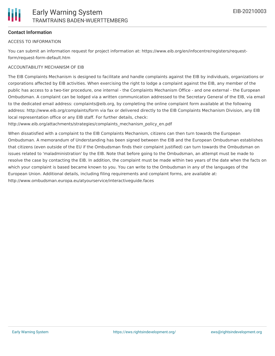

### **Contact Information**

#### ACCESS TO INFORMATION

You can submit an information request for project information at: https://www.eib.org/en/infocentre/registers/requestform/request-form-default.htm

#### ACCOUNTABILITY MECHANISM OF EIB

The EIB Complaints Mechanism is designed to facilitate and handle complaints against the EIB by individuals, organizations or corporations affected by EIB activities. When exercising the right to lodge a complaint against the EIB, any member of the public has access to a two-tier procedure, one internal - the Complaints Mechanism Office - and one external - the European Ombudsman. A complaint can be lodged via a written communication addressed to the Secretary General of the EIB, via email to the dedicated email address: complaints@eib.org, by completing the online complaint form available at the following address: http://www.eib.org/complaints/form via fax or delivered directly to the EIB Complaints Mechanism Division, any EIB local representation office or any EIB staff. For further details, check:

http://www.eib.org/attachments/strategies/complaints\_mechanism\_policy\_en.pdf

When dissatisfied with a complaint to the EIB Complaints Mechanism, citizens can then turn towards the European Ombudsman. A memorandum of Understanding has been signed between the EIB and the European Ombudsman establishes that citizens (even outside of the EU if the Ombudsman finds their complaint justified) can turn towards the Ombudsman on issues related to 'maladministration' by the EIB. Note that before going to the Ombudsman, an attempt must be made to resolve the case by contacting the EIB. In addition, the complaint must be made within two years of the date when the facts on which your complaint is based became known to you. You can write to the Ombudsman in any of the languages of the European Union. Additional details, including filing requirements and complaint forms, are available at: http://www.ombudsman.europa.eu/atyourservice/interactiveguide.faces